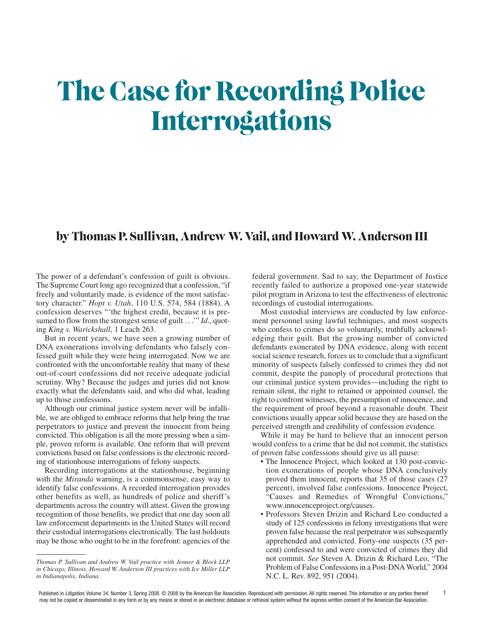# **The Case for Recording Police Interrogations**

#### **by Thomas P. Sullivan, AndrewW. Vail, and HowardW. Anderson III**

The power of a defendant's confession of guilt is obvious. The Supreme Court long ago recognized that a confession, "if freely and voluntarily made, is evidence of the most satisfactory character." *Hopt v. Utah*, 110 U.S. 574, 584 (1884). A confession deserves "'the highest credit, because it is presumed to flow from the strongest sense of guilt . . .'" *Id*., quoting *King v. Warickshall*, 1 Leach 263.

But in recent years, we have seen a growing number of DNA exonerations involving defendants who falsely confessed guilt while they were being interrogated. Now we are confronted with the uncomfortable reality that many of these out-of-court confessions did not receive adequate judicial scrutiny. Why? Because the judges and juries did not know exactly what the defendants said, and who did what, leading up to those confessions.

Although our criminal justice system never will be infallible, we are obliged to embrace reforms that help bring the true perpetrators to justice and prevent the innocent from being convicted. This obligation is all the more pressing when a simple, proven reform is available. One reform that will prevent convictions based on false confessions is the electronic recording of stationhouse interrogations of felony suspects.

Recording interrogations at the stationhouse, beginning with the *Miranda* warning, is a commonsense, easy way to identify false confessions. A recorded interrogation provides other benefits as well, as hundreds of police and sheriff's departments across the country will attest. Given the growing recognition of those benefits, we predict that one day soon all law enforcement departments in the United States will record their custodial interrogations electronically. The last holdouts may be those who ought to be in the forefront: agencies of the

*Thomas P. Sullivan and Andrew W. Vail practice with Jenner & Block LLP in Chicago, Illinois. Howard W. Anderson III practices with Ice Miller LLP in Indianapolis, Indiana.*

federal government. Sad to say, the Department of Justice recently failed to authorize a proposed one-year statewide pilot program in Arizona to test the effectiveness of electronic recordings of custodial interrogations.

Most custodial interviews are conducted by law enforcement personnel using lawful techniques, and most suspects who confess to crimes do so voluntarily, truthfully acknowledging their guilt. But the growing number of convicted defendants exonerated by DNA evidence, along with recent social science research, forces us to conclude that a significant minority of suspects falsely confessed to crimes they did not commit, despite the panoply of procedural protections that our criminal justice system provides—including the right to remain silent, the right to retained or appointed counsel, the right to confront witnesses, the presumption of innocence, and the requirement of proof beyond a reasonable doubt. Their convictions usually appear solid because they are based on the perceived strength and credibility of confession evidence.

While it may be hard to believe that an innocent person would confess to a crime that he did not commit, the statistics of proven false confessions should give us all pause:

- The Innocence Project, which looked at 130 post-conviction exonerations of people whose DNA conclusively proved them innocent, reports that 35 of those cases (27 percent), involved false confessions. Innocence Project, "Causes and Remedies of Wrongful Convictions," www.innocenceproject.org/causes.
- Professors Steven Drizin and Richard Leo conducted a study of 125 confessions in felony investigations that were proven false because the real perpetrator was subsequently apprehended and convicted. Forty-one suspects (35 percent) confessed to and were convicted of crimes they did not commit. *See* Steven A. Drizin & Richard Leo, "The Problem of False Confessions in a Post-DNA World," 2004 N.C. L. Rev. 892, 951 (2004).

1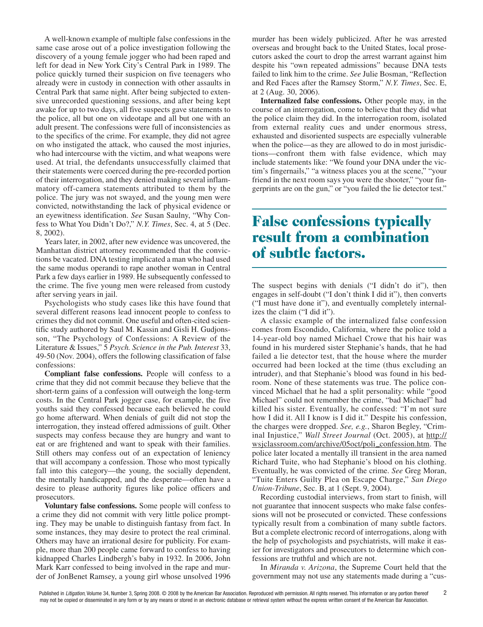A well-known example of multiple false confessions in the same case arose out of a police investigation following the discovery of a young female jogger who had been raped and left for dead in New York City's Central Park in 1989. The police quickly turned their suspicion on five teenagers who already were in custody in connection with other assaults in Central Park that same night. After being subjected to extensive unrecorded questioning sessions, and after being kept awake for up to two days, all five suspects gave statements to the police, all but one on videotape and all but one with an adult present. The confessions were full of inconsistencies as to the specifics of the crime. For example, they did not agree on who instigated the attack, who caused the most injuries, who had intercourse with the victim, and what weapons were used. At trial, the defendants unsuccessfully claimed that their statements were coerced during the pre-recorded portion of their interrogation, and they denied making several inflammatory off-camera statements attributed to them by the police. The jury was not swayed, and the young men were convicted, notwithstanding the lack of physical evidence or an eyewitness identification. *See* Susan Saulny, "Why Confess to What You Didn't Do?," *N.Y. Times*, Sec. 4, at 5 (Dec. 8, 2002).

Years later, in 2002, after new evidence was uncovered, the Manhattan district attorney recommended that the convictions be vacated. DNA testing implicated a man who had used the same modus operandi to rape another woman in Central Park a few days earlier in 1989. He subsequently confessed to the crime. The five young men were released from custody after serving years in jail.

Psychologists who study cases like this have found that several different reasons lead innocent people to confess to crimes they did not commit. One useful and often-cited scientific study authored by Saul M. Kassin and Gisli H. Gudjonsson, "The Psychology of Confessions: A Review of the Literature & Issues," 5 *Psych. Science in the Pub. Interest* 33, 49-50 (Nov. 2004), offers the following classification of false confessions:

**Compliant false confessions.** People will confess to a crime that they did not commit because they believe that the short-term gains of a confession will outweigh the long-term costs. In the Central Park jogger case, for example, the five youths said they confessed because each believed he could go home afterward. When denials of guilt did not stop the interrogation, they instead offered admissions of guilt. Other suspects may confess because they are hungry and want to eat or are frightened and want to speak with their families. Still others may confess out of an expectation of leniency that will accompany a confession. Those who most typically fall into this category—the young, the socially dependent, the mentally handicapped, and the desperate—often have a desire to please authority figures like police officers and prosecutors.

**Voluntary false confessions.** Some people will confess to a crime they did not commit with very little police prompting. They may be unable to distinguish fantasy from fact. In some instances, they may desire to protect the real criminal. Others may have an irrational desire for publicity. For example, more than 200 people came forward to confess to having kidnapped Charles Lindbergh's baby in 1932. In 2006, John Mark Karr confessed to being involved in the rape and murder of JonBenet Ramsey, a young girl whose unsolved 1996

murder has been widely publicized. After he was arrested overseas and brought back to the United States, local prosecutors asked the court to drop the arrest warrant against him despite his "own repeated admissions" because DNA tests failed to link him to the crime. *See* Julie Bosman, "Reflection and Red Faces after the Ramsey Storm," *N.Y. Times*, Sec. E, at 2 (Aug. 30, 2006).

**Internalized false confessions.** Other people may, in the course of an interrogation, come to believe that they did what the police claim they did. In the interrogation room, isolated from external reality cues and under enormous stress, exhausted and disoriented suspects are especially vulnerable when the police—as they are allowed to do in most jurisdictions—confront them with false evidence, which may include statements like: "We found your DNA under the victim's fingernails," "a witness places you at the scene," "your friend in the next room says you were the shooter," "your fingerprints are on the gun," or "you failed the lie detector test."

### **False confessions typically result from a combination of subtle factors.**

The suspect begins with denials ("I didn't do it"), then engages in self-doubt ("I don't think I did it"), then converts ("I must have done it"), and eventually completely internalizes the claim ("I did it").

A classic example of the internalized false confession comes from Escondido, California, where the police told a 14-year-old boy named Michael Crowe that his hair was found in his murdered sister Stephanie's hands, that he had failed a lie detector test, that the house where the murder occurred had been locked at the time (thus excluding an intruder), and that Stephanie's blood was found in his bedroom. None of these statements was true. The police convinced Michael that he had a split personality: while "good Michael" could not remember the crime, "bad Michael" had killed his sister. Eventually, he confessed: "I'm not sure how I did it. All I know is I did it." Despite his confession, the charges were dropped. *See, e.g.*, Sharon Begley, "Criminal Injustice," *Wall Street Journal* (Oct. 2005), at http:// wsjclassroom.com/archive/05oct/poli\_confession.htm. The police later located a mentally ill transient in the area named Richard Tuite, who had Stephanie's blood on his clothing. Eventually, he was convicted of the crime. *See* Greg Moran, "Tuite Enters Guilty Plea on Escape Charge," *San Diego Union-Tribune*, Sec. B, at 1 (Sept. 9, 2004).

Recording custodial interviews, from start to finish, will not guarantee that innocent suspects who make false confessions will not be prosecuted or convicted. These confessions typically result from a combination of many subtle factors. But a complete electronic record of interrogations, along with the help of psychologists and psychiatrists, will make it easier for investigators and prosecutors to determine which confessions are truthful and which are not.

In *Miranda v. Arizona*, the Supreme Court held that the government may not use any statements made during a "cus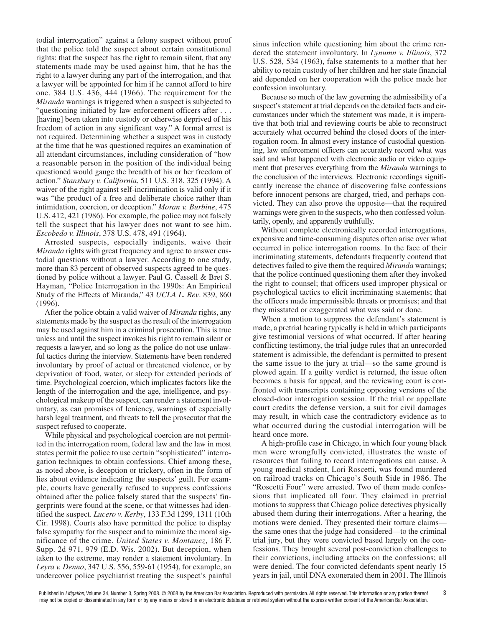todial interrogation" against a felony suspect without proof that the police told the suspect about certain constitutional rights: that the suspect has the right to remain silent, that any statements made may be used against him, that he has the right to a lawyer during any part of the interrogation, and that a lawyer will be appointed for him if he cannot afford to hire one. 384 U.S. 436, 444 (1966). The requirement for the *Miranda* warnings is triggered when a suspect is subjected to "questioning initiated by law enforcement officers after . . . [having] been taken into custody or otherwise deprived of his freedom of action in any significant way." A formal arrest is not required. Determining whether a suspect was in custody at the time that he was questioned requires an examination of all attendant circumstances, including consideration of "how a reasonable person in the position of the individual being questioned would gauge the breadth of his or her freedom of action." *Stansbury v. California*, 511 U.S. 318, 325 (1994). A waiver of the right against self-incrimination is valid only if it was "the product of a free and deliberate choice rather than intimidation, coercion, or deception." *Moran v. Burbine*, 475 U.S. 412, 421 (1986). For example, the police may not falsely tell the suspect that his lawyer does not want to see him. *Escobedo v. Illinois*, 378 U.S. 478, 491 (1964).

Arrested suspects, especially indigents, waive their *Miranda* rights with great frequency and agree to answer custodial questions without a lawyer. According to one study, more than 83 percent of observed suspects agreed to be questioned by police without a lawyer. Paul G. Cassell & Bret S. Hayman, "Police Interrogation in the 1990s: An Empirical Study of the Effects of Miranda," 43 *UCLA L. Rev*. 839, 860 (1996).

After the police obtain a valid waiver of *Miranda* rights, any statements made by the suspect as the result of the interrogation may be used against him in a criminal prosecution. This is true unless and until the suspect invokes his right to remain silent or requests a lawyer, and so long as the police do not use unlawful tactics during the interview. Statements have been rendered involuntary by proof of actual or threatened violence, or by deprivation of food, water, or sleep for extended periods of time. Psychological coercion, which implicates factors like the length of the interrogation and the age, intelligence, and psychological makeup of the suspect, can render a statement involuntary, as can promises of leniency, warnings of especially harsh legal treatment, and threats to tell the prosecutor that the suspect refused to cooperate.

While physical and psychological coercion are not permitted in the interrogation room, federal law and the law in most states permit the police to use certain "sophisticated" interrogation techniques to obtain confessions. Chief among these, as noted above, is deception or trickery, often in the form of lies about evidence indicating the suspects' guilt. For example, courts have generally refused to suppress confessions obtained after the police falsely stated that the suspects' fingerprints were found at the scene, or that witnesses had identified the suspect. *Lucero v. Kerby*, 133 F.3d 1299, 1311 (10th Cir. 1998). Courts also have permitted the police to display false sympathy for the suspect and to minimize the moral significance of the crime. *United States v. Montanez*, 186 F. Supp. 2d 971, 979 (E.D. Wis. 2002). But deception, when taken to the extreme, may render a statement involuntary. In *Leyra v. Denno*, 347 U.S. 556, 559-61 (1954), for example, an undercover police psychiatrist treating the suspect's painful

sinus infection while questioning him about the crime rendered the statement involuntary. In *Lynumn v. Illinois*, 372 U.S. 528, 534 (1963), false statements to a mother that her ability to retain custody of her children and her state financial aid depended on her cooperation with the police made her confession involuntary.

Because so much of the law governing the admissibility of a suspect's statement at trial depends on the detailed facts and circumstances under which the statement was made, it is imperative that both trial and reviewing courts be able to reconstruct accurately what occurred behind the closed doors of the interrogation room. In almost every instance of custodial questioning, law enforcement officers can accurately record what was said and what happened with electronic audio or video equipment that preserves everything from the *Miranda* warnings to the conclusion of the interviews. Electronic recordings significantly increase the chance of discovering false confessions before innocent persons are charged, tried, and perhaps convicted. They can also prove the opposite—that the required warnings were given to the suspects, who then confessed voluntarily, openly, and apparently truthfully.

Without complete electronically recorded interrogations, expensive and time-consuming disputes often arise over what occurred in police interrogation rooms. In the face of their incriminating statements, defendants frequently contend that detectives failed to give them the required *Miranda* warnings; that the police continued questioning them after they invoked the right to counsel; that officers used improper physical or psychological tactics to elicit incriminating statements; that the officers made impermissible threats or promises; and that they misstated or exaggerated what was said or done.

When a motion to suppress the defendant's statement is made, a pretrial hearing typically is held in which participants give testimonial versions of what occurred. If after hearing conflicting testimony, the trial judge rules that an unrecorded statement is admissible, the defendant is permitted to present the same issue to the jury at trial—so the same ground is plowed again. If a guilty verdict is returned, the issue often becomes a basis for appeal, and the reviewing court is confronted with transcripts containing opposing versions of the closed-door interrogation session. If the trial or appellate court credits the defense version, a suit for civil damages may result, in which case the contradictory evidence as to what occurred during the custodial interrogation will be heard once more.

A high-profile case in Chicago, in which four young black men were wrongfully convicted, illustrates the waste of resources that failing to record interrogations can cause. A young medical student, Lori Roscetti, was found murdered on railroad tracks on Chicago's South Side in 1986. The "Roscetti Four" were arrested. Two of them made confessions that implicated all four. They claimed in pretrial motions to suppress that Chicago police detectives physically abused them during their interrogations. After a hearing, the motions were denied. They presented their torture claims the same ones that the judge had considered—to the criminal trial jury, but they were convicted based largely on the confessions. They brought several post-conviction challenges to their convictions, including attacks on the confessions; all were denied. The four convicted defendants spent nearly 15 years in jail, until DNA exonerated them in 2001. The Illinois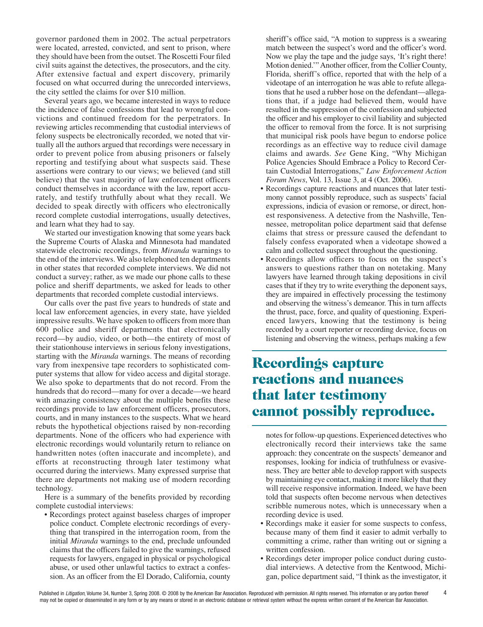governor pardoned them in 2002. The actual perpetrators were located, arrested, convicted, and sent to prison, where they should have been from the outset. The Roscetti Four filed civil suits against the detectives, the prosecutors, and the city. After extensive factual and expert discovery, primarily focused on what occurred during the unrecorded interviews, the city settled the claims for over \$10 million.

Several years ago, we became interested in ways to reduce the incidence of false confessions that lead to wrongful convictions and continued freedom for the perpetrators. In reviewing articles recommending that custodial interviews of felony suspects be electronically recorded, we noted that virtually all the authors argued that recordings were necessary in order to prevent police from abusing prisoners or falsely reporting and testifying about what suspects said. These assertions were contrary to our views; we believed (and still believe) that the vast majority of law enforcement officers conduct themselves in accordance with the law, report accurately, and testify truthfully about what they recall. We decided to speak directly with officers who electronically record complete custodial interrogations, usually detectives, and learn what they had to say.

We started our investigation knowing that some years back the Supreme Courts of Alaska and Minnesota had mandated statewide electronic recordings, from *Miranda* warnings to the end of the interviews. We also telephoned ten departments in other states that recorded complete interviews. We did not conduct a survey; rather, as we made our phone calls to these police and sheriff departments, we asked for leads to other departments that recorded complete custodial interviews.

Our calls over the past five years to hundreds of state and local law enforcement agencies, in every state, have yielded impressive results. We have spoken to officers from more than 600 police and sheriff departments that electronically record—by audio, video, or both—the entirety of most of their stationhouse interviews in serious felony investigations, starting with the *Miranda* warnings. The means of recording vary from inexpensive tape recorders to sophisticated computer systems that allow for video access and digital storage. We also spoke to departments that do not record. From the hundreds that do record—many for over a decade—we heard with amazing consistency about the multiple benefits these recordings provide to law enforcement officers, prosecutors, courts, and in many instances to the suspects. What we heard rebuts the hypothetical objections raised by non-recording departments. None of the officers who had experience with electronic recordings would voluntarily return to reliance on handwritten notes (often inaccurate and incomplete), and efforts at reconstructing through later testimony what occurred during the interviews. Many expressed surprise that there are departments not making use of modern recording technology.

Here is a summary of the benefits provided by recording complete custodial interviews:

• Recordings protect against baseless charges of improper police conduct. Complete electronic recordings of everything that transpired in the interrogation room, from the initial *Miranda* warnings to the end, preclude unfounded claims that the officers failed to give the warnings, refused requests for lawyers, engaged in physical or psychological abuse, or used other unlawful tactics to extract a confession. As an officer from the El Dorado, California, county

sheriff's office said, "A motion to suppress is a swearing match between the suspect's word and the officer's word. Now we play the tape and the judge says, 'It's right there! Motion denied.'"Another officer, from the Collier County, Florida, sheriff's office, reported that with the help of a videotape of an interrogation he was able to refute allegations that he used a rubber hose on the defendant—allegations that, if a judge had believed them, would have resulted in the suppression of the confession and subjected the officer and his employer to civil liability and subjected the officer to removal from the force. It is not surprising that municipal risk pools have begun to endorse police recordings as an effective way to reduce civil damage claims and awards. *See* Gene King, "Why Michigan Police Agencies Should Embrace a Policy to Record Certain Custodial Interrogations," *Law Enforcement Action Forum News*, Vol. 13, Issue 3, at 4 (Oct. 2006).

- Recordings capture reactions and nuances that later testimony cannot possibly reproduce, such as suspects' facial expressions, indicia of evasion or remorse, or direct, honest responsiveness. A detective from the Nashville, Tennessee, metropolitan police department said that defense claims that stress or pressure caused the defendant to falsely confess evaporated when a videotape showed a calm and collected suspect throughout the questioning.
- Recordings allow officers to focus on the suspect's answers to questions rather than on notetaking. Many lawyers have learned through taking depositions in civil cases that if they try to write everything the deponent says, they are impaired in effectively processing the testimony and observing the witness's demeanor. This in turn affects the thrust, pace, force, and quality of questioning. Experienced lawyers, knowing that the testimony is being recorded by a court reporter or recording device, focus on listening and observing the witness, perhaps making a few

# **Recordings capture reactions and nuances that later testimony cannot possibly reproduce.**

notes for follow-up questions. Experienced detectives who electronically record their interviews take the same approach: they concentrate on the suspects' demeanor and responses, looking for indicia of truthfulness or evasiveness. They are better able to develop rapport with suspects by maintaining eye contact, making it more likely that they will receive responsive information. Indeed, we have been told that suspects often become nervous when detectives scribble numerous notes, which is unnecessary when a recording device is used.

- Recordings make it easier for some suspects to confess, because many of them find it easier to admit verbally to committing a crime, rather than writing out or signing a written confession.
- Recordings deter improper police conduct during custodial interviews. A detective from the Kentwood, Michigan, police department said, "I think as the investigator, it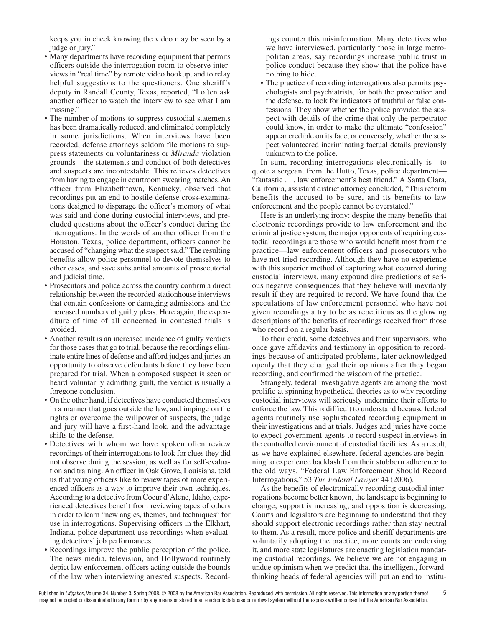keeps you in check knowing the video may be seen by a judge or jury."

- Many departments have recording equipment that permits officers outside the interrogation room to observe interviews in "real time" by remote video hookup, and to relay helpful suggestions to the questioners. One sheriff's deputy in Randall County, Texas, reported, "I often ask another officer to watch the interview to see what I am missing."
- The number of motions to suppress custodial statements has been dramatically reduced, and eliminated completely in some jurisdictions. When interviews have been recorded, defense attorneys seldom file motions to suppress statements on voluntariness or *Miranda* violation grounds—the statements and conduct of both detectives and suspects are incontestable. This relieves detectives from having to engage in courtroom swearing matches.An officer from Elizabethtown, Kentucky, observed that recordings put an end to hostile defense cross-examinations designed to disparage the officer's memory of what was said and done during custodial interviews, and precluded questions about the officer's conduct during the interrogations. In the words of another officer from the Houston, Texas, police department, officers cannot be accused of "changing what the suspect said." The resulting benefits allow police personnel to devote themselves to other cases, and save substantial amounts of prosecutorial and judicial time.
- Prosecutors and police across the country confirm a direct relationship between the recorded stationhouse interviews that contain confessions or damaging admissions and the increased numbers of guilty pleas. Here again, the expenditure of time of all concerned in contested trials is avoided.
- Another result is an increased incidence of guilty verdicts for those cases that go to trial, because the recordings eliminate entire lines of defense and afford judges and juries an opportunity to observe defendants before they have been prepared for trial. When a composed suspect is seen or heard voluntarily admitting guilt, the verdict is usually a foregone conclusion.
- On the other hand, if detectives have conducted themselves in a manner that goes outside the law, and impinge on the rights or overcome the willpower of suspects, the judge and jury will have a first-hand look, and the advantage shifts to the defense.
- Detectives with whom we have spoken often review recordings of their interrogations to look for clues they did not observe during the session, as well as for self-evaluation and training. An officer in Oak Grove, Louisiana, told us that young officers like to review tapes of more experienced officers as a way to improve their own techniques. According to a detective from Coeur d'Alene, Idaho, experienced detectives benefit from reviewing tapes of others in order to learn "new angles, themes, and techniques" for use in interrogations. Supervising officers in the Elkhart, Indiana, police department use recordings when evaluating detectives' job performances.
- Recordings improve the public perception of the police. The news media, television, and Hollywood routinely depict law enforcement officers acting outside the bounds of the law when interviewing arrested suspects. Record-

ings counter this misinformation. Many detectives who we have interviewed, particularly those in large metropolitan areas, say recordings increase public trust in police conduct because they show that the police have nothing to hide.

• The practice of recording interrogations also permits psychologists and psychiatrists, for both the prosecution and the defense, to look for indicators of truthful or false confessions. They show whether the police provided the suspect with details of the crime that only the perpetrator could know, in order to make the ultimate "confession" appear credible on its face, or conversely, whether the suspect volunteered incriminating factual details previously unknown to the police.

In sum, recording interrogations electronically is—to quote a sergeant from the Hutto, Texas, police department— "fantastic . . . law enforcement's best friend." A Santa Clara, California, assistant district attorney concluded, "This reform benefits the accused to be sure, and its benefits to law enforcement and the people cannot be overstated."

Here is an underlying irony: despite the many benefits that electronic recordings provide to law enforcement and the criminal justice system, the major opponents of requiring custodial recordings are those who would benefit most from the practice—law enforcement officers and prosecutors who have not tried recording. Although they have no experience with this superior method of capturing what occurred during custodial interviews, many expound dire predictions of serious negative consequences that they believe will inevitably result if they are required to record. We have found that the speculations of law enforcement personnel who have not given recordings a try to be as repetitious as the glowing descriptions of the benefits of recordings received from those who record on a regular basis.

To their credit, some detectives and their supervisors, who once gave affidavits and testimony in opposition to recordings because of anticipated problems, later acknowledged openly that they changed their opinions after they began recording, and confirmed the wisdom of the practice.

Strangely, federal investigative agents are among the most prolific at spinning hypothetical theories as to why recording custodial interviews will seriously undermine their efforts to enforce the law. This is difficult to understand because federal agents routinely use sophisticated recording equipment in their investigations and at trials. Judges and juries have come to expect government agents to record suspect interviews in the controlled environment of custodial facilities. As a result, as we have explained elsewhere, federal agencies are beginning to experience backlash from their stubborn adherence to the old ways. "Federal Law Enforcement Should Record Interrogations," 53 *The Federal Lawyer* 44 (2006).

As the benefits of electronically recording custodial interrogations become better known, the landscape is beginning to change; support is increasing, and opposition is decreasing. Courts and legislators are beginning to understand that they should support electronic recordings rather than stay neutral to them. As a result, more police and sheriff departments are voluntarily adopting the practice, more courts are endorsing it, and more state legislatures are enacting legislation mandating custodial recordings. We believe we are not engaging in undue optimism when we predict that the intelligent, forwardthinking heads of federal agencies will put an end to institu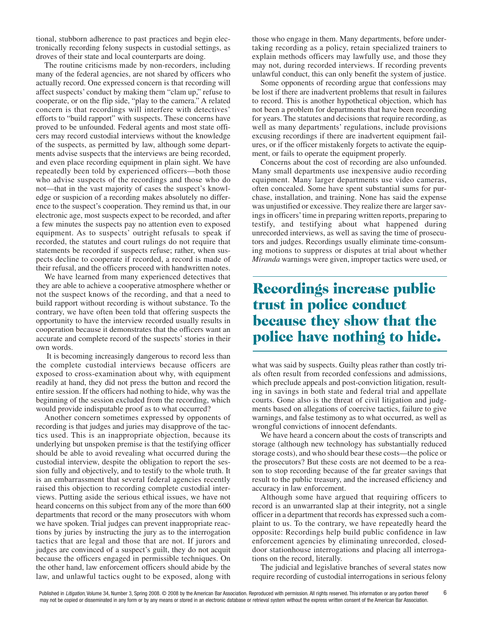tional, stubborn adherence to past practices and begin electronically recording felony suspects in custodial settings, as droves of their state and local counterparts are doing.

The routine criticisms made by non-recorders, including many of the federal agencies, are not shared by officers who actually record. One expressed concern is that recording will affect suspects' conduct by making them "clam up," refuse to cooperate, or on the flip side, "play to the camera." A related concern is that recordings will interfere with detectives' efforts to "build rapport" with suspects. These concerns have proved to be unfounded. Federal agents and most state officers may record custodial interviews without the knowledge of the suspects, as permitted by law, although some departments advise suspects that the interviews are being recorded, and even place recording equipment in plain sight. We have repeatedly been told by experienced officers—both those who advise suspects of the recordings and those who do not—that in the vast majority of cases the suspect's knowledge or suspicion of a recording makes absolutely no difference to the suspect's cooperation. They remind us that, in our electronic age, most suspects expect to be recorded, and after a few minutes the suspects pay no attention even to exposed equipment. As to suspects' outright refusals to speak if recorded, the statutes and court rulings do not require that statements be recorded if suspects refuse; rather, when suspects decline to cooperate if recorded, a record is made of their refusal, and the officers proceed with handwritten notes.

We have learned from many experienced detectives that they are able to achieve a cooperative atmosphere whether or not the suspect knows of the recording, and that a need to build rapport without recording is without substance. To the contrary, we have often been told that offering suspects the opportunity to have the interview recorded usually results in cooperation because it demonstrates that the officers want an accurate and complete record of the suspects' stories in their own words.

It is becoming increasingly dangerous to record less than the complete custodial interviews because officers are exposed to cross-examination about why, with equipment readily at hand, they did not press the button and record the entire session. If the officers had nothing to hide, why was the beginning of the session excluded from the recording, which would provide indisputable proof as to what occurred?

Another concern sometimes expressed by opponents of recording is that judges and juries may disapprove of the tactics used. This is an inappropriate objection, because its underlying but unspoken premise is that the testifying officer should be able to avoid revealing what occurred during the custodial interview, despite the obligation to report the session fully and objectively, and to testify to the whole truth. It is an embarrassment that several federal agencies recently raised this objection to recording complete custodial interviews. Putting aside the serious ethical issues, we have not heard concerns on this subject from any of the more than 600 departments that record or the many prosecutors with whom we have spoken. Trial judges can prevent inappropriate reactions by juries by instructing the jury as to the interrogation tactics that are legal and those that are not. If jurors and judges are convinced of a suspect's guilt, they do not acquit because the officers engaged in permissible techniques. On the other hand, law enforcement officers should abide by the law, and unlawful tactics ought to be exposed, along with

those who engage in them. Many departments, before undertaking recording as a policy, retain specialized trainers to explain methods officers may lawfully use, and those they may not, during recorded interviews. If recording prevents unlawful conduct, this can only benefit the system of justice.

Some opponents of recording argue that confessions may be lost if there are inadvertent problems that result in failures to record. This is another hypothetical objection, which has not been a problem for departments that have been recording for years. The statutes and decisions that require recording, as well as many departments' regulations, include provisions excusing recordings if there are inadvertent equipment failures, or if the officer mistakenly forgets to activate the equipment, or fails to operate the equipment properly.

Concerns about the cost of recording are also unfounded. Many small departments use inexpensive audio recording equipment. Many larger departments use video cameras, often concealed. Some have spent substantial sums for purchase, installation, and training. None has said the expense was unjustified or excessive. They realize there are larger savings in officers' time in preparing written reports, preparing to testify, and testifying about what happened during unrecorded interviews, as well as saving the time of prosecutors and judges. Recordings usually eliminate time-consuming motions to suppress or disputes at trial about whether *Miranda* warnings were given, improper tactics were used, or

# **Recordings increase public trust in police conduct because they show that the police have nothing to hide.**

what was said by suspects. Guilty pleas rather than costly trials often result from recorded confessions and admissions, which preclude appeals and post-conviction litigation, resulting in savings in both state and federal trial and appellate courts. Gone also is the threat of civil litigation and judgments based on allegations of coercive tactics, failure to give warnings, and false testimony as to what occurred, as well as wrongful convictions of innocent defendants.

We have heard a concern about the costs of transcripts and storage (although new technology has substantially reduced storage costs), and who should bear these costs—the police or the prosecutors? But these costs are not deemed to be a reason to stop recording because of the far greater savings that result to the public treasury, and the increased efficiency and accuracy in law enforcement.

Although some have argued that requiring officers to record is an unwarranted slap at their integrity, not a single officer in a department that records has expressed such a complaint to us. To the contrary, we have repeatedly heard the opposite: Recordings help build public confidence in law enforcement agencies by eliminating unrecorded, closeddoor stationhouse interrogations and placing all interrogations on the record, literally.

The judicial and legislative branches of several states now require recording of custodial interrogations in serious felony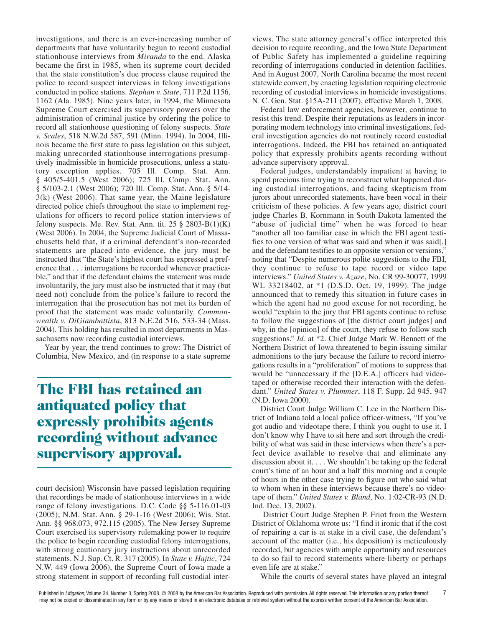investigations, and there is an ever-increasing number of departments that have voluntarily begun to record custodial stationhouse interviews from *Miranda* to the end. Alaska became the first in 1985, when its supreme court decided that the state constitution's due process clause required the police to record suspect interviews in felony investigations conducted in police stations. *Stephan v. State*, 711 P.2d 1156, 1162 (Ala. 1985). Nine years later, in 1994, the Minnesota Supreme Court exercised its supervisory powers over the administration of criminal justice by ordering the police to record all stationhouse questioning of felony suspects. *State v. Scales*, 518 N.W.2d 587, 591 (Minn. 1994). In 2004, Illinois became the first state to pass legislation on this subject, making unrecorded stationhouse interrogations presumptively inadmissible in homicide prosecutions, unless a statutory exception applies. 705 Ill. Comp. Stat. Ann. § 405/5-401.5 (West 2006); 725 Ill. Comp. Stat. Ann. § 5/103-2.1 (West 2006); 720 Ill. Comp. Stat. Ann. § 5/14-3(k) (West 2006). That same year, the Maine legislature directed police chiefs throughout the state to implement regulations for officers to record police station interviews of felony suspects. Me. Rev. Stat. Ann. tit.  $25 \S 2803-B(1)(K)$ (West 2006). In 2004, the Supreme Judicial Court of Massachusetts held that, if a criminal defendant's non-recorded statements are placed into evidence, the jury must be instructed that "the State's highest court has expressed a preference that . . . interrogations be recorded whenever practicable," and that if the defendant claims the statement was made involuntarily, the jury must also be instructed that it may (but need not) conclude from the police's failure to record the interrogation that the prosecution has not met its burden of proof that the statement was made voluntarily. *Commonwealth v. DiGiambattista*, 813 N.E.2d 516, 533-34 (Mass. 2004). This holding has resulted in most departments in Massachusetts now recording custodial interviews.

Year by year, the trend continues to grow: The District of Columbia, New Mexico, and (in response to a state supreme

# **The FBI has retained an antiquated policy that expressly prohibits agents recording without advance supervisory approval.**

court decision) Wisconsin have passed legislation requiring that recordings be made of stationhouse interviews in a wide range of felony investigations. D.C. Code §§ 5-116.01-03 (2005); N.M. Stat. Ann. § 29-1-16 (West 2006); Wis. Stat. Ann. §§ 968.073, 972.115 (2005). The New Jersey Supreme Court exercised its supervisory rulemaking power to require the police to begin recording custodial felony interrogations, with strong cautionary jury instructions about unrecorded statements. N.J. Sup. Ct. R. 317 (2005). In *State v. Hajtic*, 724 N.W. 449 (Iowa 2006), the Supreme Court of Iowa made a strong statement in support of recording full custodial inter-

views. The state attorney general's office interpreted this decision to require recording, and the Iowa State Department of Public Safety has implemented a guideline requiring recording of interrogations conducted in detention facilities. And in August 2007, North Carolina became the most recent statewide convert, by enacting legislation requiring electronic recording of custodial interviews in homicide investigations. N. C. Gen. Stat. §15A-211 (2007), effective March 1, 2008.

Federal law enforcement agencies, however, continue to resist this trend. Despite their reputations as leaders in incorporating modern technology into criminal investigations, federal investigation agencies do not routinely record custodial interrogations. Indeed, the FBI has retained an antiquated policy that expressly prohibits agents recording without advance supervisory approval.

Federal judges, understandably impatient at having to spend precious time trying to reconstruct what happened during custodial interrogations, and facing skepticism from jurors about unrecorded statements, have been vocal in their criticism of these policies. A few years ago, district court judge Charles B. Kornmann in South Dakota lamented the "abuse of judicial time" when he was forced to hear "another all too familiar case in which the FBI agent testifies to one version of what was said and when it was said[,] and the defendant testifies to an opposite version or versions, noting that "Despite numerous polite suggestions to the FBI, they continue to refuse to tape record or video tape interviews." *United States v. Azure*, No. CR 99-30077, 1999 WL 33218402, at \*1 (D.S.D. Oct. 19, 1999). The judge announced that to remedy this situation in future cases in which the agent had no good excuse for not recording, he would "explain to the jury that FBI agents continue to refuse to follow the suggestions of [the district court judges] and why, in the [opinion] of the court, they refuse to follow such suggestions." *Id.* at \*2. Chief Judge Mark W. Bennett of the Northern District of Iowa threatened to begin issuing similar admonitions to the jury because the failure to record interrogations results in a "proliferation" of motions to suppress that would be "unnecessary if the [D.E.A.] officers had videotaped or otherwise recorded their interaction with the defendant." *United States v. Plummer*, 118 F. Supp. 2d 945, 947 (N.D. Iowa 2000).

District Court Judge William C. Lee in the Northern District of Indiana told a local police officer-witness, "If you've got audio and videotape there, I think you ought to use it. I don't know why I have to sit here and sort through the credibility of what was said in these interviews when there's a perfect device available to resolve that and eliminate any discussion about it. . . . We shouldn't be taking up the federal court's time of an hour and a half this morning and a couple of hours in the other case trying to figure out who said what to whom when in these interviews because there's no videotape of them." *United States v. Bland*, No. 1:02-CR-93 (N.D. Ind. Dec. 13, 2002).

District Court Judge Stephen P. Friot from the Western District of Oklahoma wrote us: "I find it ironic that if the cost of repairing a car is at stake in a civil case, the defendant's account of the matter (i.e., his deposition) is meticulously recorded, but agencies with ample opportunity and resources to do so fail to record statements where liberty or perhaps even life are at stake."

While the courts of several states have played an integral